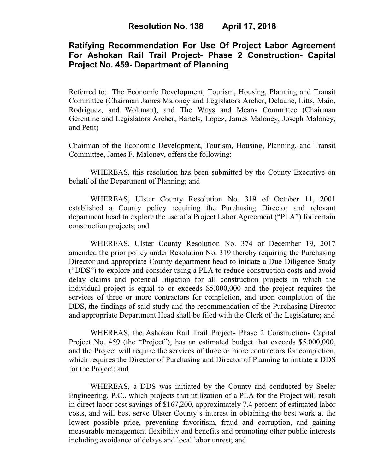# **Ratifying Recommendation For Use Of Project Labor Agreement For Ashokan Rail Trail Project- Phase 2 Construction- Capital Project No. 459- Department of Planning**

Referred to: The Economic Development, Tourism, Housing, Planning and Transit Committee (Chairman James Maloney and Legislators Archer, Delaune, Litts, Maio, Rodriguez, and Woltman), and The Ways and Means Committee (Chairman Gerentine and Legislators Archer, Bartels, Lopez, James Maloney, Joseph Maloney, and Petit)

Chairman of the Economic Development, Tourism, Housing, Planning, and Transit Committee, James F. Maloney, offers the following:

WHEREAS, this resolution has been submitted by the County Executive on behalf of the Department of Planning; and

WHEREAS, Ulster County Resolution No. 319 of October 11, 2001 established a County policy requiring the Purchasing Director and relevant department head to explore the use of a Project Labor Agreement ("PLA") for certain construction projects; and

WHEREAS, Ulster County Resolution No. 374 of December 19, 2017 amended the prior policy under Resolution No. 319 thereby requiring the Purchasing Director and appropriate County department head to initiate a Due Diligence Study ("DDS") to explore and consider using a PLA to reduce construction costs and avoid delay claims and potential litigation for all construction projects in which the individual project is equal to or exceeds \$5,000,000 and the project requires the services of three or more contractors for completion, and upon completion of the DDS, the findings of said study and the recommendation of the Purchasing Director and appropriate Department Head shall be filed with the Clerk of the Legislature; and

WHEREAS, the Ashokan Rail Trail Project- Phase 2 Construction- Capital Project No. 459 (the "Project"), has an estimated budget that exceeds \$5,000,000, and the Project will require the services of three or more contractors for completion, which requires the Director of Purchasing and Director of Planning to initiate a DDS for the Project; and

WHEREAS, a DDS was initiated by the County and conducted by Seeler Engineering, P.C., which projects that utilization of a PLA for the Project will result in direct labor cost savings of \$167,200, approximately 7.4 percent of estimated labor costs, and will best serve Ulster County's interest in obtaining the best work at the lowest possible price, preventing favoritism, fraud and corruption, and gaining measurable management flexibility and benefits and promoting other public interests including avoidance of delays and local labor unrest; and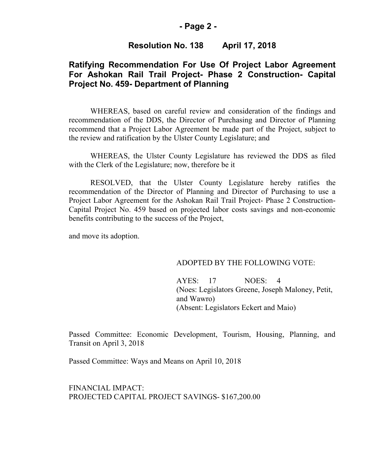### **- Page 2 -**

## **Resolution No. 138 April 17, 2018**

## **Ratifying Recommendation For Use Of Project Labor Agreement For Ashokan Rail Trail Project- Phase 2 Construction- Capital Project No. 459- Department of Planning**

WHEREAS, based on careful review and consideration of the findings and recommendation of the DDS, the Director of Purchasing and Director of Planning recommend that a Project Labor Agreement be made part of the Project, subject to the review and ratification by the Ulster County Legislature; and

WHEREAS, the Ulster County Legislature has reviewed the DDS as filed with the Clerk of the Legislature; now, therefore be it

RESOLVED, that the Ulster County Legislature hereby ratifies the recommendation of the Director of Planning and Director of Purchasing to use a Project Labor Agreement for the Ashokan Rail Trail Project- Phase 2 Construction-Capital Project No. 459 based on projected labor costs savings and non-economic benefits contributing to the success of the Project,

and move its adoption.

#### ADOPTED BY THE FOLLOWING VOTE:

AYES: 17 NOES: 4 (Noes: Legislators Greene, Joseph Maloney, Petit, and Wawro) (Absent: Legislators Eckert and Maio)

Passed Committee: Economic Development, Tourism, Housing, Planning, and Transit on April 3, 2018

Passed Committee: Ways and Means on April 10, 2018

FINANCIAL IMPACT: PROJECTED CAPITAL PROJECT SAVINGS- \$167,200.00